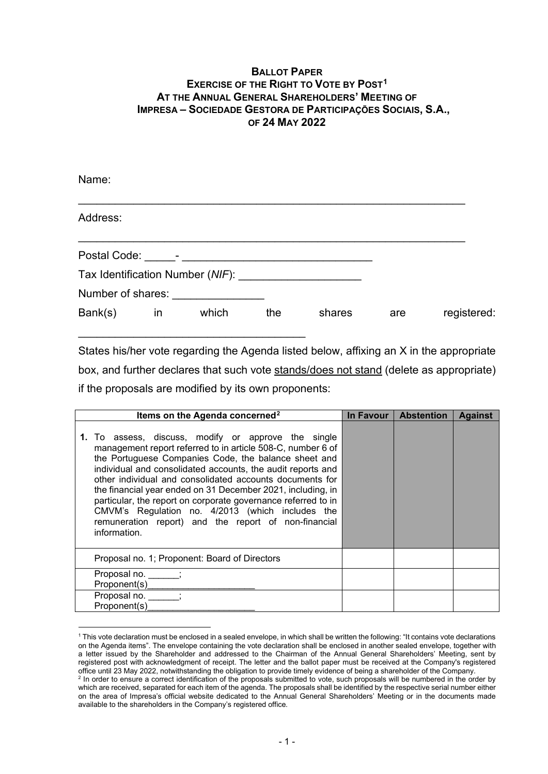## **BALLOT PAPER EXERCISE OF THE RIGHT TO VOTE BY POST[1](#page-0-0) AT THE ANNUAL GENERAL SHAREHOLDERS' MEETING OF IMPRESA – SOCIEDADE GESTORA DE PARTICIPAÇÕES SOCIAIS, S.A., OF 24 MAY 2022**

| Name:             |    |       |     |        |     |             |
|-------------------|----|-------|-----|--------|-----|-------------|
| Address:          |    |       |     |        |     |             |
|                   |    |       |     |        |     |             |
|                   |    |       |     |        |     |             |
| Number of shares: |    |       |     |        |     |             |
| Bank(s)           | in | which | the | shares | are | registered: |

States his/her vote regarding the Agenda listed below, affixing an X in the appropriate box, and further declares that such vote stands/does not stand (delete as appropriate) if the proposals are modified by its own proponents:

| Items on the Agenda concerned <sup>2</sup>                                                                                                                                                                                                                                                                                                                                                                                                                                                                                                                        | In Favour | <b>Abstention</b> | <b>Against</b> |
|-------------------------------------------------------------------------------------------------------------------------------------------------------------------------------------------------------------------------------------------------------------------------------------------------------------------------------------------------------------------------------------------------------------------------------------------------------------------------------------------------------------------------------------------------------------------|-----------|-------------------|----------------|
| 1. To assess, discuss, modify or approve the single<br>management report referred to in article 508-C, number 6 of<br>the Portuguese Companies Code, the balance sheet and<br>individual and consolidated accounts, the audit reports and<br>other individual and consolidated accounts documents for<br>the financial year ended on 31 December 2021, including, in<br>particular, the report on corporate governance referred to in<br>CMVM's Regulation no. 4/2013 (which includes the<br>remuneration report) and the report of non-financial<br>information. |           |                   |                |
| Proposal no. 1; Proponent: Board of Directors                                                                                                                                                                                                                                                                                                                                                                                                                                                                                                                     |           |                   |                |
| Proposal no.<br>Proponent(s)                                                                                                                                                                                                                                                                                                                                                                                                                                                                                                                                      |           |                   |                |
| Proposal no.<br>Proponent(s)                                                                                                                                                                                                                                                                                                                                                                                                                                                                                                                                      |           |                   |                |

<span id="page-0-0"></span><sup>1</sup> This vote declaration must be enclosed in a sealed envelope, in which shall be written the following: "It contains vote declarations on the Agenda items". The envelope containing the vote declaration shall be enclosed in another sealed envelope, together with a letter issued by the Shareholder and addressed to the Chairman of the Annual General Shareholders' Meeting, sent by registered post with acknowledgment of receipt. The letter and the ballot paper must be received at the Company's registered office until 23 May 2022, notwithstanding the obligation to provide timely evidence of being a shareholder of the Company.

<span id="page-0-1"></span><sup>2</sup> In order to ensure a correct identification of the proposals submitted to vote, such proposals will be numbered in the order by which are received, separated for each item of the agenda. The proposals shall be identified by the respective serial number either on the area of Impresa's official website dedicated to the Annual General Shareholders' Meeting or in the documents made available to the shareholders in the Company's registered office.